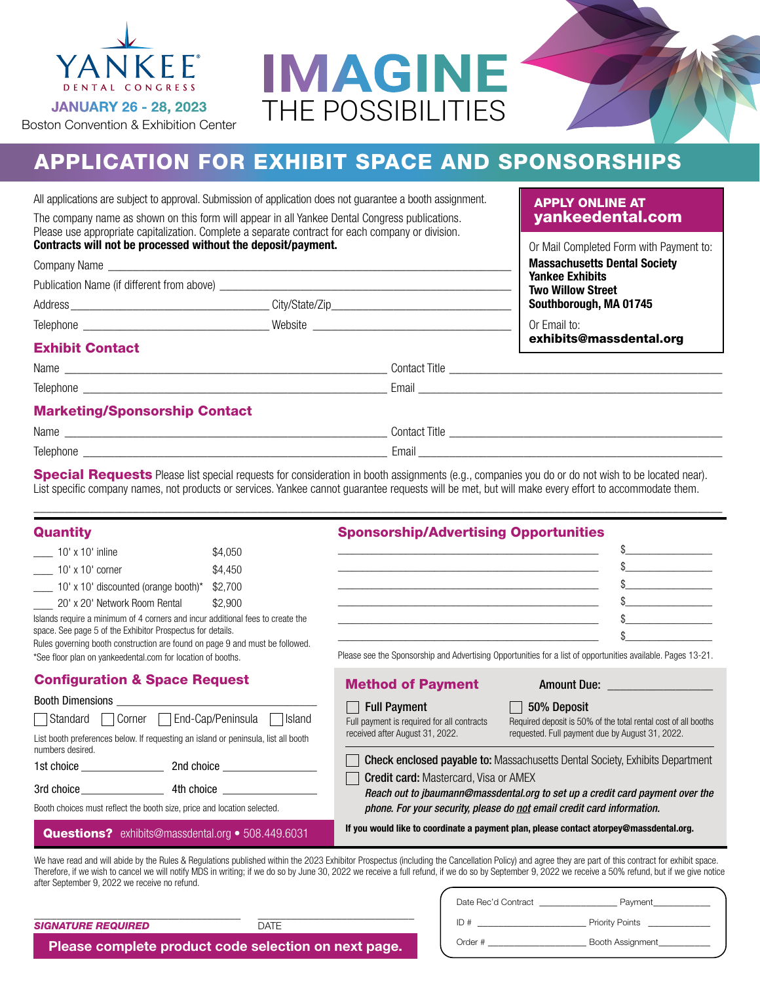



## APPLICATION FOR EXHIBIT SPACE AND SPONSORSHIPS

All applications are subject to approval. Submission of application does not guarantee a booth assignment.

The company name as shown on this form will appear in all Yankee Dental Congress publications. Please use appropriate capitalization. Complete a separate contract for each company or division. Contracts will not be processed without the deposit/payment.

| Contracts will not be processed without the deposit/payment. |                | Or Mail Completed Form with Payment to:            |
|--------------------------------------------------------------|----------------|----------------------------------------------------|
| Company Name                                                 |                | <b>Massachusetts Dental Society</b>                |
| Publication Name (if different from above)                   |                | <b>Yankee Exhibits</b><br><b>Two Willow Street</b> |
| Address                                                      | City/State/Zip | Southborough, MA 01745                             |
| Telephone                                                    | Website        | Or Email to:<br>exhibits@massdental.org            |

### Exhibit Contact

Telephone \_\_\_\_\_\_\_\_\_\_\_\_\_\_\_\_\_\_\_\_\_\_\_\_\_\_\_\_\_\_\_\_\_\_\_\_\_\_\_\_\_\_\_\_\_\_\_\_\_ Email \_\_\_\_\_\_\_\_\_\_\_\_\_\_\_\_\_\_\_\_\_\_\_\_\_\_\_\_\_\_\_\_\_\_\_\_\_\_\_\_\_\_\_\_\_\_\_\_\_

Name \_\_\_\_\_\_\_\_\_\_\_\_\_\_\_\_\_\_\_\_\_\_\_\_\_\_\_\_\_\_\_\_\_\_\_\_\_\_\_\_\_\_\_\_\_\_\_\_\_\_\_\_ Contact Title \_\_\_\_\_\_\_\_\_\_\_\_\_\_\_\_\_\_\_\_\_\_\_\_\_\_\_\_\_\_\_\_\_\_\_\_\_\_\_\_\_\_\_\_

### Marketing/Sponsorship Contact

| name |  |
|------|--|
|      |  |

Name was contact Title and the contact Title contact Title and the contact Title  $\sim$ 

Telephone \_\_\_\_\_\_\_\_\_\_\_\_\_\_\_\_\_\_\_\_\_\_\_\_\_\_\_\_\_\_\_\_\_\_\_\_\_\_\_\_\_\_\_\_\_\_\_\_\_ Email \_\_\_\_\_\_\_\_\_\_\_\_\_\_\_\_\_\_\_\_\_\_\_\_\_\_\_\_\_\_\_\_\_\_\_\_\_\_\_\_\_\_\_\_\_\_\_\_\_

Special Requests Please list special requests for consideration in booth assignments (e.g., companies you do or do not wish to be located near). List specific company names, not products or services. Yankee cannot guarantee requests will be met, but will make every effort to accommodate them.

\_\_\_\_\_\_\_\_\_\_\_\_\_\_\_\_\_\_\_\_\_\_\_\_\_\_\_\_\_\_\_\_\_\_\_\_\_\_\_\_\_\_\_\_\_\_\_\_\_\_\_\_\_\_\_\_\_\_\_\_\_\_\_\_\_\_\_\_\_\_\_\_\_\_\_\_\_\_\_\_\_\_\_\_\_\_\_\_\_\_\_\_\_\_\_\_\_\_\_\_\_\_\_\_\_\_\_\_\_\_\_

| Quantity                                                                                                                                     |         | <b>Sponsorship/Advertising Opportunities</b>                                                                          |                                                                                                                                                                                                                                                                                                                                                                                                               |
|----------------------------------------------------------------------------------------------------------------------------------------------|---------|-----------------------------------------------------------------------------------------------------------------------|---------------------------------------------------------------------------------------------------------------------------------------------------------------------------------------------------------------------------------------------------------------------------------------------------------------------------------------------------------------------------------------------------------------|
| 10' x 10' inline                                                                                                                             | \$4,050 |                                                                                                                       |                                                                                                                                                                                                                                                                                                                                                                                                               |
| $10'$ x 10' corner                                                                                                                           | \$4,450 |                                                                                                                       |                                                                                                                                                                                                                                                                                                                                                                                                               |
| $\frac{10^{6} \text{ m}}{200}$ 10' x 10' discounted (orange booth)*                                                                          | \$2,700 | <u> 1990 - Jan James James James James James James James James James James James James James James James James Ja</u> |                                                                                                                                                                                                                                                                                                                                                                                                               |
| 20' x 20' Network Room Rental                                                                                                                | \$2,900 |                                                                                                                       |                                                                                                                                                                                                                                                                                                                                                                                                               |
| Islands require a minimum of 4 corners and incur additional fees to create the<br>space. See page 5 of the Exhibitor Prospectus for details. |         | <u> 1989 - Johann John Stone, markin sanadi amerikan bahasa dalam kemasaan dalam kemasaan dalam kemasaan dalam k</u>  |                                                                                                                                                                                                                                                                                                                                                                                                               |
| Rules governing booth construction are found on page 9 and must be followed.<br>*See floor plan on yankeedental.com for location of booths.  |         |                                                                                                                       | Please see the Sponsorship and Advertising Opportunities for a list of opportunities available. Pages 13-21.                                                                                                                                                                                                                                                                                                  |
| <b>Configuration &amp; Space Request</b>                                                                                                     |         | <b>Method of Payment</b>                                                                                              | Amount Due: Amount Due:                                                                                                                                                                                                                                                                                                                                                                                       |
|                                                                                                                                              |         | <b>Full Payment</b>                                                                                                   | 50% Deposit                                                                                                                                                                                                                                                                                                                                                                                                   |
| Standard Corner End-Cap/Peninsula Sland                                                                                                      |         | Full payment is required for all contracts                                                                            | Required deposit is 50% of the total rental cost of all booths                                                                                                                                                                                                                                                                                                                                                |
| List booth preferences below. If requesting an island or peninsula, list all booth<br>numbers desired.                                       |         | received after August 31, 2022.                                                                                       | requested. Full payment due by August 31, 2022.                                                                                                                                                                                                                                                                                                                                                               |
|                                                                                                                                              |         |                                                                                                                       | <b>Check enclosed payable to:</b> Massachusetts Dental Society, Exhibits Department                                                                                                                                                                                                                                                                                                                           |
| Booth choices must reflect the booth size, price and location selected.                                                                      |         | <b>Credit card:</b> Mastercard, Visa or AMEX                                                                          | Reach out to jbaumann@massdental.org to set up a credit card payment over the<br>phone. For your security, please do not email credit card information.                                                                                                                                                                                                                                                       |
| <b>Questions?</b> exhibits@massdental.org • 508.449.6031                                                                                     |         |                                                                                                                       | If you would like to coordinate a payment plan, please contact atorpey@massdental.org.                                                                                                                                                                                                                                                                                                                        |
|                                                                                                                                              |         |                                                                                                                       | We have read and will abide by the Rules & Regulations published within the 2023 Exhibitor Prospectus (including the Cancellation Policy) and agree they are part of this contract for exhibit space.<br>Therefore, if we wish to cancel we will notify MDS in writing: if we do so by June 30, 2022 we receive a full refund, if we do so by September 9, 2022 we receive a 50% refund, but if we give notic |

\_\_\_\_\_\_\_\_\_\_\_\_\_\_\_\_\_\_\_\_\_\_\_\_\_\_\_\_

after September 9, 2022 we receive no refund.

*SIGNATURE REQUIRED*

\_\_\_\_\_\_\_\_\_\_\_\_\_\_\_\_\_\_\_\_\_\_\_\_\_\_\_\_\_\_\_\_\_\_\_\_\_

| Date Rec'd Contract | Payment                |  |
|---------------------|------------------------|--|
| ID#                 | <b>Priority Points</b> |  |
| Order #             | Booth Assignment       |  |

APPLY ONLINE AT [yankeedental.com](https://hub.massdental.org/yankeedental/s/exhibit)

Please complete product code selection on next page.

DATE